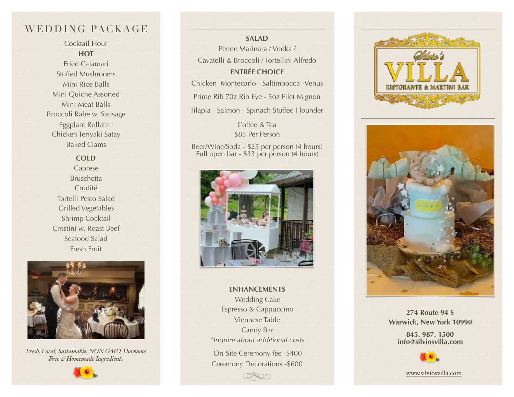# WEDDING PACKAGE

Cocktail Hour **HOT**  Fried Calamari Stuffed Mushrooms Mini Rice Balls Mini Quiche Assorted Mini Meat Balls Broccoli Rabe w. Sausage Eggplant Rollatini Chicken Teriyaki Satay Baked Clams

## **COLD**

Caprese **Bruschetta** Crudité Tortelli Pesto Salad Grilled Vegetables Shrimp Cocktail Crostini w. Roast Beef Seafood Salad Fresh Fruit



*Fresh, Local, Sustainable, NON GMO, Hormone Free & Homemade Ingredients*



**SALAD**  Penne Marinara / Vodka / Cavatelli & Broccoli / Tortellini Alfredo **ENTRÉE CHOICE** 

Chicken Montecarlo - Saltimbocca -Venus

Prime Rib 70z Rib Eye - 5oz Filet Mignon

Tilapia - Salmon - Spinach Stuffed Flounder

Coffee & Tea \$85 Per Person

Beer/Wine/Soda - \$25 per person (4 hours) Full open bar - \$33 per person (4 hours)



**ENHANCEMENTS**  Wedding Cake Espresso & Cappuccino Viennese Table Candy Bar *\*Inquire about additional costs* 

On-Site Ceremony fee -\$400 Ceremony Decorations -\$600

ææn





**274 Route 94 S Warwick, New York 10990** 

**845. 987. 1500 [info@silviosvilla.com](mailto:info@silviosvilla.com)**



[www.silviosvilla.com](http://www.silviosvilla.com)